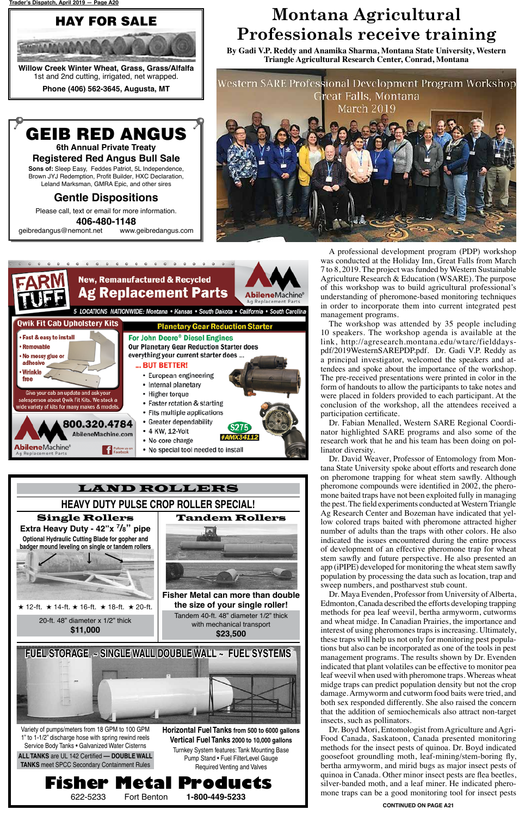# **Fisher Metal Products**

Turnkey System features: Tank Mounting Base Pump Stand • Fuel FilterLevel Gauge Required Venting and Valves

**Horizontal Fuel Tanks from 500 to 6000 gallons Vertical Fuel Tanks 2000 to 10,000 gallons**

Variety of pumps/meters from 18 GPM to 100 GPM 1" to 1-1/2" discharge hose with spring rewind reels Service Body Tanks • Galvanized Water Cisterns



622-5233 Fort Benton **1-800-449-5233**

**406-480-1148** geibredangus@nemont.net

**ALL TANKS** are UL 142 Certified **–– DOUBLE WALL TANKS** meet SPCC Secondary Containment Rules



**6th Annual Private Treaty Registered Red Angus Bull Sale**

**Sons of:** Sleep Easy, Feddes Patriot, 5L Independence, Brown JYJ Redemption, Profit Builder, HXC Declaration, Leland Marksman, GMRA Epic, and other sires

### **Gentle Dispositions**

Please call, text or email for more information.



**Willow Creek Winter Wheat, Grass, Grass/Alfalfa** 1st and 2nd cutting, irrigated, net wrapped.

**Phone (406) 562-3645, Augusta, MT**

A professional development program (PDP) workshop was conducted at the Holiday Inn, Great Falls from March 7 to 8, 2019. The project was funded by Western Sustainable Agriculture Research & Education (WSARE). The purpose of this workshop was to build agricultural professional's understanding of pheromone-based monitoring techniques in order to incorporate them into current integrated pest management programs.

The workshop was attended by 35 people including 10 speakers. The workshop agenda is available at the link, http://agresearch.montana.edu/wtarc/fielddayspdf/2019WesternSAREPDP.pdf. Dr. Gadi V.P. Reddy as a principal investigator, welcomed the speakers and attendees and spoke about the importance of the workshop. The pre-received presentations were printed in color in the form of handouts to allow the participants to take notes and were placed in folders provided to each participant. At the conclusion of the workshop, all the attendees received a participation certificate.

Dr. Fabian Menalled, Western SARE Regional Coordinator highlighted SARE programs and also some of the research work that he and his team has been doing on pollinator diversity.

Dr. David Weaver, Professor of Entomology from Montana State University spoke about efforts and research done on pheromone trapping for wheat stem sawfly. Although pheromone compounds were identified in 2002, the pheromone baited traps have not been exploited fully in managing the pest. The field experiments conducted at Western Triangle Ag Research Center and Bozeman have indicated that yellow colored traps baited with pheromone attracted higher number of adults than the traps with other colors. He also indicated the issues encountered during the entire process of development of an effective pheromone trap for wheat stem sawfly and future perspective. He also presented an app (iPIPE) developed for monitoring the wheat stem sawfly population by processing the data such as location, trap and sweep numbers, and postharvest stub count.

Dr. Maya Evenden, Professor from University of Alberta, Edmonton, Canada described the efforts developing trapping methods for pea leaf weevil, bertha armyworm, cutworms and wheat midge. In Canadian Prairies, the importance and interest of using pheromones traps is increasing. Ultimately, these traps will help us not only for monitoring pest populations but also can be incorporated as one of the tools in pest management programs. The results shown by Dr. Evenden indicated that plant volatiles can be effective to monitor pea leaf weevil when used with pheromone traps. Whereas wheat midge traps can predict population density but not the crop damage. Armyworm and cutworm food baits were tried, and both sex responded differently. She also raised the concern that the addition of semiochemicals also attract non-target insects, such as pollinators. Dr. Boyd Mori, Entomologist from Agriculture and Agri-Food Canada, Saskatoon, Canada presented monitoring methods for the insect pests of quinoa. Dr. Boyd indicated goosefoot groundling moth, leaf-mining/stem-boring fly, bertha armyworm, and mirid bugs as major insect pests of quinoa in Canada. Other minor insect pests are flea beetles, silver-banded moth, and a leaf miner. He indicated pheromone traps can be a good monitoring tool for insect pests

## **Montana Agricultural Professionals receive training**

**By Gadi V.P. Reddy and Anamika Sharma, Montana State University, Western Triangle Agricultural Research Center, Conrad, Montana**





**CONTINUED ON PAGE A21**